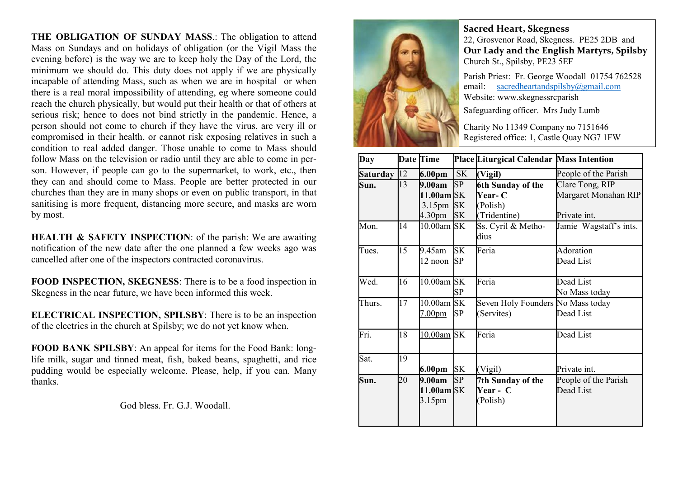THE OBLIGATION OF SUNDAY MASS.: The obligation to attend Mass on Sundays and on holidays of obligation (or the Vigil Mass the evening before) is the way we are to keep holy the Day of the Lord, the minimum we should do. This duty does not apply if we are physically incapable of attending Mass, such as when we are in hospital or when there is a real moral impossibility of attending, eg where someone could reach the church physically, but would put their health or that of others at serious risk; hence to does not bind strictly in the pandemic. Hence, a person should not come to church if they have the virus, are very ill or compromised in their health, or cannot risk exposing relatives in such a condition to real added danger. Those unable to come to Mass should follow Mass on the television or radio until they are able to come in person. However, if people can go to the supermarket, to work, etc., then they can and should come to Mass. People are better protected in our churches than they are in many shops or even on public transport, in that sanitising is more frequent, distancing more secure, and masks are worn by most.

HEALTH & SAFETY INSPECTION: of the parish: We are awaiting notification of the new date after the one planned a few weeks ago was cancelled after one of the inspectors contracted coronavirus.

FOOD INSPECTION, SKEGNESS: There is to be a food inspection in Skegness in the near future, we have been informed this week.

ELECTRICAL INSPECTION, SPILSBY: There is to be an inspection of the electrics in the church at Spilsby; we do not yet know when.

FOOD BANK SPILSBY: An appeal for items for the Food Bank: longlife milk, sugar and tinned meat, fish, baked beans, spaghetti, and rice pudding would be especially welcome. Please, help, if you can. Many thanks.

God bless. Fr. G.J. Woodall.



Sacred Heart, Skegness 22, Grosvenor Road, Skegness. PE25 2DB and Our Lady and the English Martyrs, Spilsby Church St., Spilsby, PE23 5EF

Parish Priest: Fr. George Woodall 01754 762528 email: sacredheartandspilsby@gmail.com Website: www.skegnessrcparish

Safeguarding officer. Mrs Judy Lumb

Charity No 11349 Company no 7151646 Registered office: 1, Castle Quay NG7 1FW

| Day          |    | Date Time                        |           | Place Liturgical Calendar Mass Intention |                        |
|--------------|----|----------------------------------|-----------|------------------------------------------|------------------------|
| Saturday  12 |    | 6.00pm                           | <b>SK</b> | (Vigil)                                  | People of the Parish   |
| Sun.         | 13 | 9.00am                           | <b>SP</b> | 6th Sunday of the                        | Clare Tong, RIP        |
|              |    | $11.00$ am SK                    |           | <b>Year- C</b>                           | Margaret Monahan RIP   |
|              |    | $3.15$ pm $\overline{\text{SK}}$ |           | (Polish)                                 |                        |
|              |    | 4.30 <sub>pm</sub>               | <b>SK</b> | (Tridentine)                             | Private int.           |
| Mon.         | 14 | $10.00$ am SK                    |           | Ss. Cyril & Metho-                       | Jamie Wagstaff's ints. |
|              |    |                                  |           | dius                                     |                        |
| Tues.        | 15 | 9.45am                           | <b>SK</b> | Feria                                    | Adoration              |
|              |    | $12$ noon                        | SP        |                                          | Dead List              |
| Wed.         | 16 | 10.00am SK                       |           | Feria                                    | Dead List              |
|              |    |                                  | SP        |                                          | No Mass today          |
| Thurs.       | 17 | 10.00am SK                       |           | Seven Holy Founders No Mass today        |                        |
|              |    | 7.00 <sub>pm</sub>               | SP        | (Servites)                               | Dead List              |
| Fri.         | 18 | 10.00am SK                       |           | Feria                                    | Dead List              |
| Sat.         | 19 |                                  |           |                                          |                        |
|              |    | 6.00 <sub>pm</sub>               | <b>SK</b> | (Vigil)                                  | Private int.           |
| Sun.         | 20 | 9.00am                           | SP        | 7th Sunday of the                        | People of the Parish   |
|              |    | 11.00am SK                       |           | Year - C                                 | Dead List              |
|              |    | 3.15 <sub>pm</sub>               |           | (Polish)                                 |                        |
|              |    |                                  |           |                                          |                        |